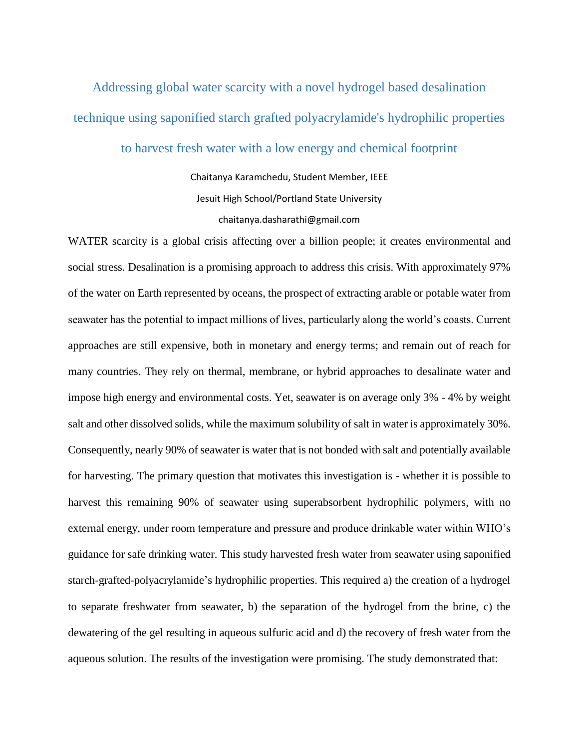Addressing global water scarcity with a novel hydrogel based desalination technique using saponified starch grafted polyacrylamide's hydrophilic properties

to harvest fresh water with a low energy and chemical footprint

Chaitanya Karamchedu, Student Member, IEEE Jesuit High School/Portland State University chaitanya.dasharathi@gmail.com

WATER scarcity is a global crisis affecting over a billion people; it creates environmental and social stress. Desalination is a promising approach to address this crisis. With approximately 97% of the water on Earth represented by oceans, the prospect of extracting arable or potable water from seawater has the potential to impact millions of lives, particularly along the world's coasts. Current approaches are still expensive, both in monetary and energy terms; and remain out of reach for many countries. They rely on thermal, membrane, or hybrid approaches to desalinate water and impose high energy and environmental costs. Yet, seawater is on average only 3% - 4% by weight salt and other dissolved solids, while the maximum solubility of salt in water is approximately 30%. Consequently, nearly 90% of seawater is water that is not bonded with salt and potentially available for harvesting. The primary question that motivates this investigation is - whether it is possible to harvest this remaining 90% of seawater using superabsorbent hydrophilic polymers, with no external energy, under room temperature and pressure and produce drinkable water within WHO's guidance for safe drinking water. This study harvested fresh water from seawater using saponified starch-grafted-polyacrylamide's hydrophilic properties. This required a) the creation of a hydrogel to separate freshwater from seawater, b) the separation of the hydrogel from the brine, c) the dewatering of the gel resulting in aqueous sulfuric acid and d) the recovery of fresh water from the aqueous solution. The results of the investigation were promising. The study demonstrated that: